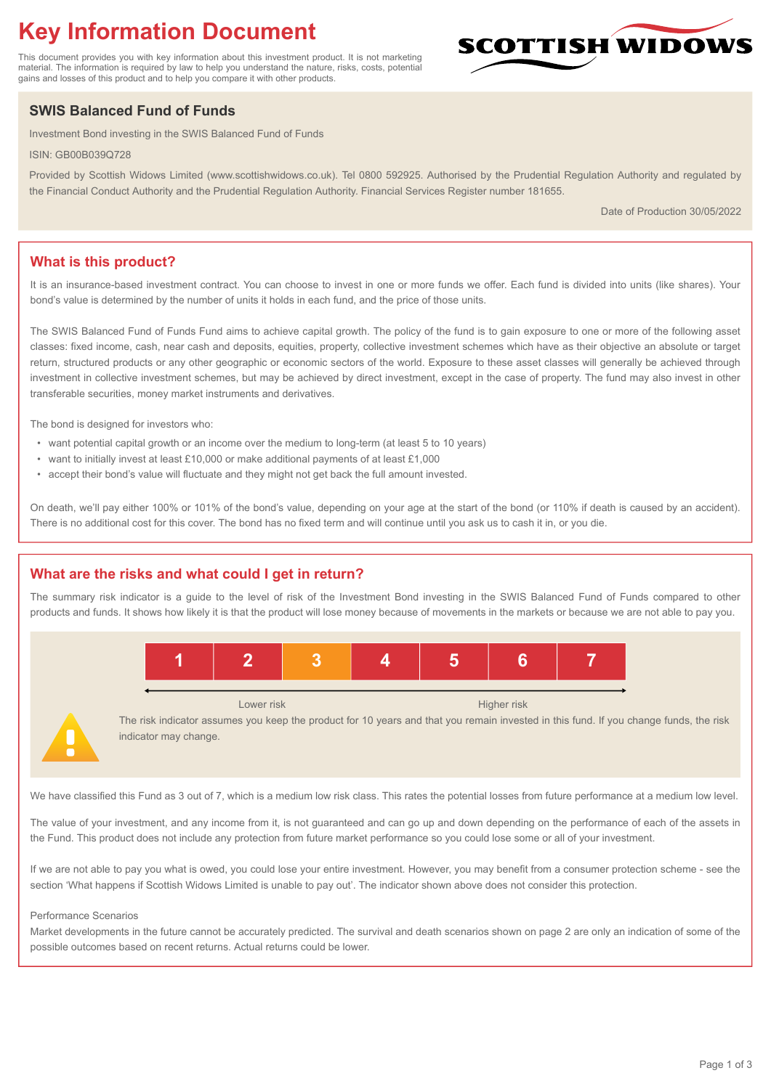# **Key Information Document**

This document provides you with key information about this investment product. It is not marketing material. The information is required by law to help you understand the nature, risks, costs, potential gains and losses of this product and to help you compare it with other products.

## **SWIS Balanced Fund of Funds**

Investment Bond investing in the SWIS Balanced Fund of Funds

ISIN: GB00B039Q728

Provided by Scottish Widows Limited (www.scottishwidows.co.uk). Tel 0800 592925. Authorised by the Prudential Regulation Authority and regulated by the Financial Conduct Authority and the Prudential Regulation Authority. Financial Services Register number 181655.

Date of Production 30/05/2022

**SCOTTISH WIDOW** 

## **What is this product?**

It is an insurance-based investment contract. You can choose to invest in one or more funds we offer. Each fund is divided into units (like shares). Your bond's value is determined by the number of units it holds in each fund, and the price of those units.

The SWIS Balanced Fund of Funds Fund aims to achieve capital growth. The policy of the fund is to gain exposure to one or more of the following asset classes: fixed income, cash, near cash and deposits, equities, property, collective investment schemes which have as their objective an absolute or target return, structured products or any other geographic or economic sectors of the world. Exposure to these asset classes will generally be achieved through investment in collective investment schemes, but may be achieved by direct investment, except in the case of property. The fund may also invest in other transferable securities, money market instruments and derivatives.

The bond is designed for investors who:

- want potential capital growth or an income over the medium to long-term (at least 5 to 10 years)
- want to initially invest at least £10,000 or make additional payments of at least £1,000
- accept their bond's value will fluctuate and they might not get back the full amount invested.

On death, we'll pay either 100% or 101% of the bond's value, depending on your age at the start of the bond (or 110% if death is caused by an accident). There is no additional cost for this cover. The bond has no fixed term and will continue until you ask us to cash it in, or you die.

## **What are the risks and what could I get in return?**

The summary risk indicator is a guide to the level of risk of the Investment Bond investing in the SWIS Balanced Fund of Funds compared to other products and funds. It shows how likely it is that the product will lose money because of movements in the markets or because we are not able to pay you.



The risk indicator assumes you keep the product for 10 years and that you remain invested in this fund. If you change funds, the risk indicator may change.

We have classified this Fund as 3 out of 7, which is a medium low risk class. This rates the potential losses from future performance at a medium low level.

The value of your investment, and any income from it, is not guaranteed and can go up and down depending on the performance of each of the assets in the Fund. This product does not include any protection from future market performance so you could lose some or all of your investment.

If we are not able to pay you what is owed, you could lose your entire investment. However, you may benefit from a consumer protection scheme - see the section 'What happens if Scottish Widows Limited is unable to pay out'. The indicator shown above does not consider this protection.

#### Performance Scenarios

Market developments in the future cannot be accurately predicted. The survival and death scenarios shown on page 2 are only an indication of some of the possible outcomes based on recent returns. Actual returns could be lower.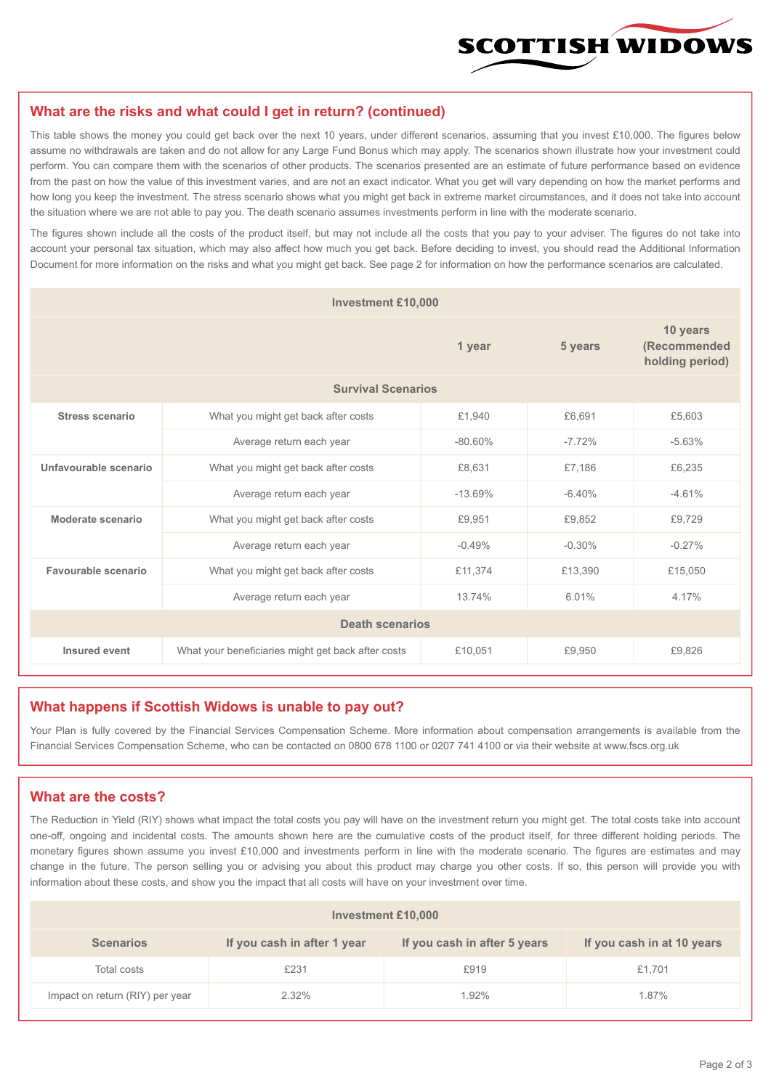

#### **What are the risks and what could I get in return? (continued)**

This table shows the money you could get back over the next 10 years, under different scenarios, assuming that you invest £10,000. The figures below assume no withdrawals are taken and do not allow for any Large Fund Bonus which may apply. The scenarios shown illustrate how your investment could perform. You can compare them with the scenarios of other products. The scenarios presented are an estimate of future performance based on evidence from the past on how the value of this investment varies, and are not an exact indicator. What you get will vary depending on how the market performs and how long you keep the investment. The stress scenario shows what you might get back in extreme market circumstances, and it does not take into account the situation where we are not able to pay you. The death scenario assumes investments perform in line with the moderate scenario.

The figures shown include all the costs of the product itself, but may not include all the costs that you pay to your adviser. The figures do not take into account your personal tax situation, which may also affect how much you get back. Before deciding to invest, you should read the Additional Information Document for more information on the risks and what you might get back. See page 2 for information on how the performance scenarios are calculated.

| <b>Investment £10,000</b> |                                                    |           |                                             |          |  |  |
|---------------------------|----------------------------------------------------|-----------|---------------------------------------------|----------|--|--|
|                           |                                                    | 5 years   | 10 years<br>(Recommended<br>holding period) |          |  |  |
| <b>Survival Scenarios</b> |                                                    |           |                                             |          |  |  |
| <b>Stress scenario</b>    | £1,940<br>What you might get back after costs      |           | £6,691                                      | £5,603   |  |  |
|                           | $-80.60\%$<br>Average return each year             |           | $-7.72%$                                    | $-5.63%$ |  |  |
| Unfavourable scenario     | What you might get back after costs<br>£8,631      |           | £7,186                                      | £6,235   |  |  |
|                           | Average return each year                           | $-13.69%$ | $-6.40%$                                    | $-4.61%$ |  |  |
| Moderate scenario         | What you might get back after costs                | £9,951    | £9,852                                      | £9,729   |  |  |
|                           | Average return each year                           | $-0.49%$  | $-0.30%$                                    | $-0.27%$ |  |  |
| Favourable scenario       | What you might get back after costs                | £11,374   | £13,390                                     | £15,050  |  |  |
| Average return each year  |                                                    | 13.74%    | 6.01%                                       | 4.17%    |  |  |
| <b>Death scenarios</b>    |                                                    |           |                                             |          |  |  |
| Insured event             | What your beneficiaries might get back after costs | £10,051   | £9.950                                      | £9.826   |  |  |

#### **What happens if Scottish Widows is unable to pay out?**

Your Plan is fully covered by the Financial Services Compensation Scheme. More information about compensation arrangements is available from the Financial Services Compensation Scheme, who can be contacted on 0800 678 1100 or 0207 741 4100 or via their website at www.fscs.org.uk

#### **What are the costs?**

The Reduction in Yield (RIY) shows what impact the total costs you pay will have on the investment return you might get. The total costs take into account one-off, ongoing and incidental costs. The amounts shown here are the cumulative costs of the product itself, for three different holding periods. The monetary figures shown assume you invest £10,000 and investments perform in line with the moderate scenario. The figures are estimates and may change in the future. The person selling you or advising you about this product may charge you other costs. If so, this person will provide you with information about these costs, and show you the impact that all costs will have on your investment over time.

| <b>Investment £10,000</b>       |                             |                              |                            |  |  |  |
|---------------------------------|-----------------------------|------------------------------|----------------------------|--|--|--|
| <b>Scenarios</b>                | If you cash in after 1 year | If you cash in after 5 years | If you cash in at 10 years |  |  |  |
| Total costs                     | £231                        | £919                         | £1,701                     |  |  |  |
| Impact on return (RIY) per year | 2.32%                       | 1.92%                        | 1.87%                      |  |  |  |